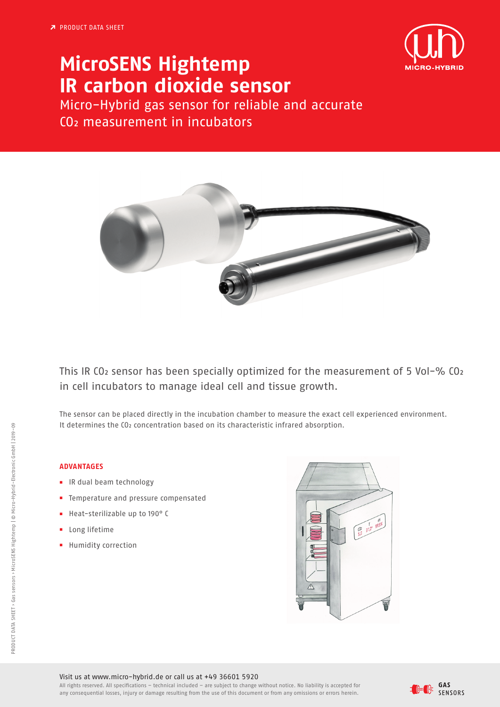

## **MicroSENS Hightemp IR carbon dioxide sensor**

Micro-Hybrid gas sensor for reliable and accurate CO2 measurement in incubators



This IR CO2 sensor has been specially optimized for the measurement of 5 Vol-% CO2 in cell incubators to manage ideal cell and tissue growth.

The sensor can be placed directly in the incubation chamber to measure the exact cell experienced environment. It determines the CO<sub>2</sub> concentration based on its characteristic infrared absorption.

## **ADVANTAGES**

- **■** IR dual beam technology
- **■** Temperature and pressure compensated
- **■** Heat-sterilizable up to 190° C
- **■** Long lifetime
- **■** Humidity correction



Visit us at www.micro-hybrid.de or call us at +49 36601 5920

All rights reserved. All specifications – technical included – are subject to change without notice. No liability is accepted for any consequential losses, injury or damage resulting from the use of this document or from any omissions or errors herein.